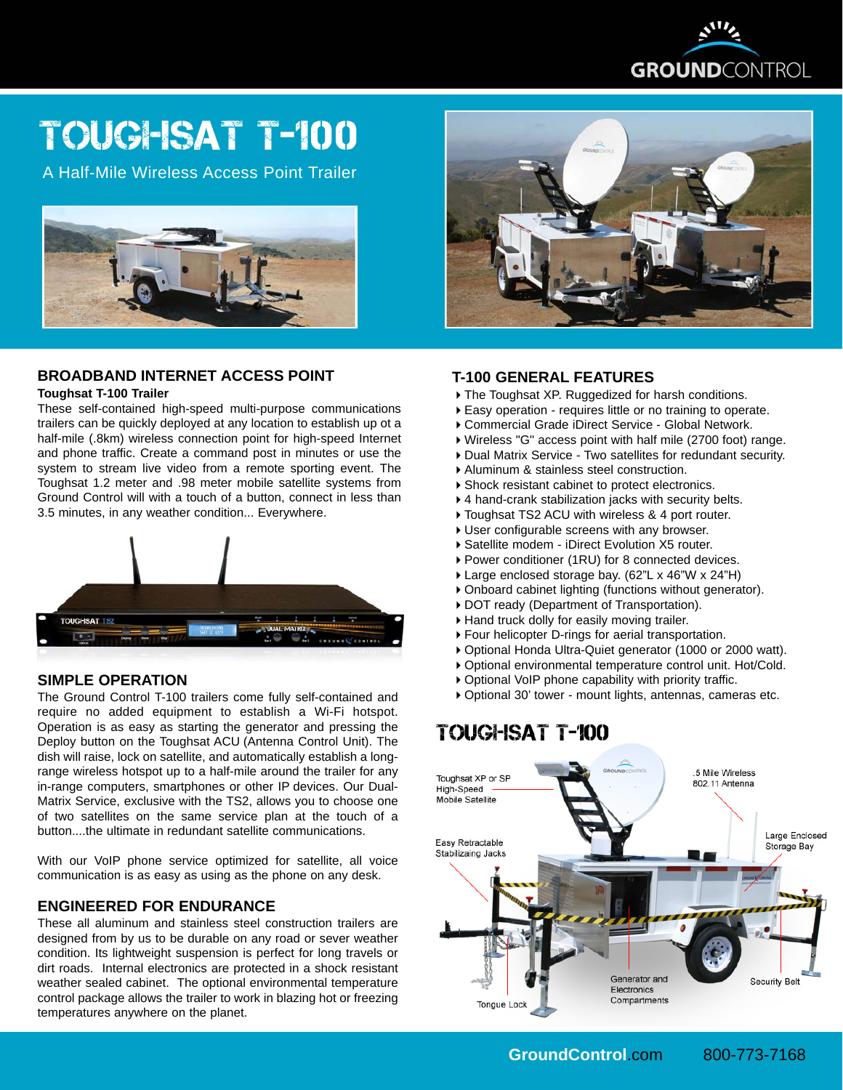

# Toughsat T-100

A Half-Mile Wireless Access Point Trailer



## **BROADBAND INTERNET ACCESS POINT**

#### **Toughsat T-100 Trailer**

These self-contained high-speed multi-purpose communications trailers can be quickly deployed at any location to establish up ot a half-mile (.8km) wireless connection point for high-speed Internet and phone traffic. Create a command post in minutes or use the system to stream live video from a remote sporting event. The Toughsat 1.2 meter and .98 meter mobile satellite systems from Ground Control will with a touch of a button, connect in less than 3.5 minutes, in any weather condition... Everywhere.



#### **SIMPLE OPERATION**

The Ground Control T-100 trailers come fully self-contained and require no added equipment to establish a Wi-Fi hotspot. Operation is as easy as starting the generator and pressing the Deploy button on the Toughsat ACU (Antenna Control Unit). The dish will raise, lock on satellite, and automatically establish a longrange wireless hotspot up to a half-mile around the trailer for any in-range computers, smartphones or other IP devices. Our Dual-Matrix Service, exclusive with the TS2, allows you to choose one of two satellites on the same service plan at the touch of a button....the ultimate in redundant satellite communications.

With our VoIP phone service optimized for satellite, all voice communication is as easy as using as the phone on any desk.

#### **ENGINEERED FOR ENDURANCE**

These all aluminum and stainless steel construction trailers are designed from by us to be durable on any road or sever weather condition. Its lightweight suspension is perfect for long travels or dirt roads. Internal electronics are protected in a shock resistant weather sealed cabinet. The optional environmental temperature control package allows the trailer to work in blazing hot or freezing temperatures anywhere on the planet.



### **T-100 GENERAL FEATURES**

- ▶ The Toughsat XP. Ruggedized for harsh conditions.
- Easy operation requires little or no training to operate.
- Commercial Grade iDirect Service Global Network.
- Wireless "G" access point with half mile (2700 foot) range.
- ▶ Dual Matrix Service Two satellites for redundant security.
- Aluminum & stainless steel construction.
- Shock resistant cabinet to protect electronics.
- 4 hand-crank stabilization jacks with security belts.
- ▶ Toughsat TS2 ACU with wireless & 4 port router.
- User configurable screens with any browser.
- Satellite modem iDirect Evolution X5 router.
- ▶ Power conditioner (1RU) for 8 connected devices.
- Large enclosed storage bay. (62"L x 46"W x 24"H)
- Onboard cabinet lighting (functions without generator).
- ▶ DOT ready (Department of Transportation).
- Hand truck dolly for easily moving trailer.
- Four helicopter D-rings for aerial transportation.
- Optional Honda Ultra-Quiet generator (1000 or 2000 watt).
- Optional environmental temperature control unit. Hot/Cold.
- Optional VoIP phone capability with priority traffic.
- Optional 30' tower mount lights, antennas, cameras etc.

# TOUGHSAT T-100